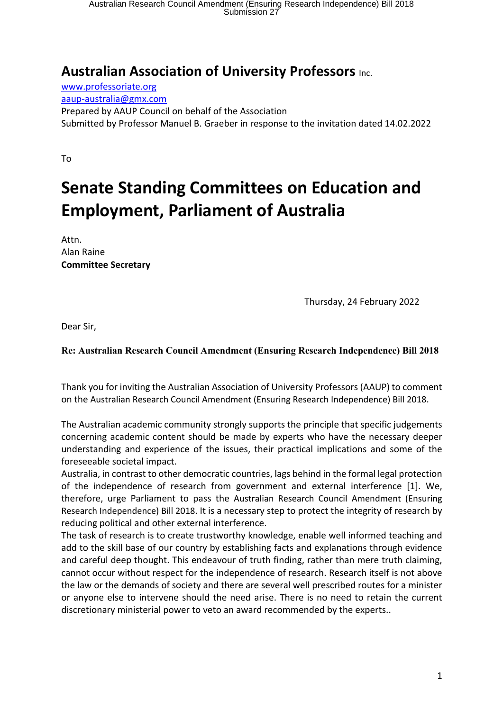## **Australian Association of University Professors** Inc.

www.professoriate.org aaup-australia@gmx.com Prepared by AAUP Council on behalf of the Association Submitted by Professor Manuel B. Graeber in response to the invitation dated 14.02.2022

To

## **Senate Standing Committees on Education and Employment, Parliament of Australia**

Attn. Alan Raine **Committee Secretary**

Thursday, 24 February 2022

Dear Sir,

## **Re: Australian Research Council Amendment (Ensuring Research Independence) Bill 2018**

Thank you for inviting the Australian Association of University Professors (AAUP) to comment on the Australian Research Council Amendment (Ensuring Research Independence) Bill 2018.

The Australian academic community strongly supports the principle that specific judgements concerning academic content should be made by experts who have the necessary deeper understanding and experience of the issues, their practical implications and some of the foreseeable societal impact.

Australia, in contrast to other democratic countries, lags behind in the formal legal protection of the independence of research from government and external interference [1]. We, therefore, urge Parliament to pass the Australian Research Council Amendment (Ensuring Research Independence) Bill 2018. It is a necessary step to protect the integrity of research by reducing political and other external interference.

The task of research is to create trustworthy knowledge, enable well informed teaching and add to the skill base of our country by establishing facts and explanations through evidence and careful deep thought. This endeavour of truth finding, rather than mere truth claiming, cannot occur without respect for the independence of research. Research itself is not above the law or the demands of society and there are several well prescribed routes for a minister or anyone else to intervene should the need arise. There is no need to retain the current discretionary ministerial power to veto an award recommended by the experts..